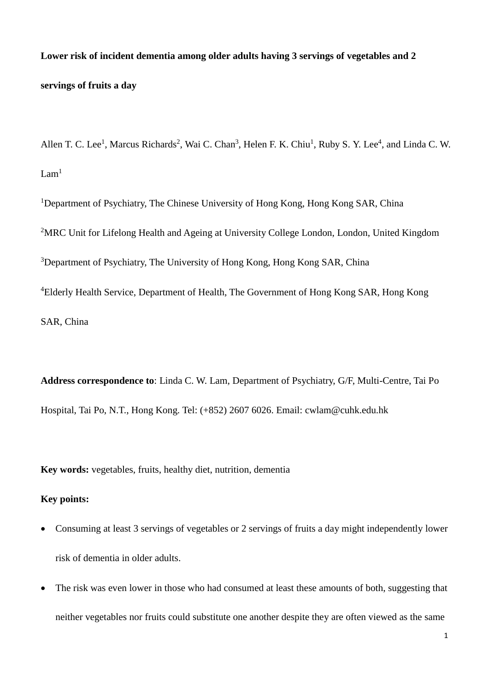**Lower risk of incident dementia among older adults having 3 servings of vegetables and 2 servings of fruits a day**

Allen T. C. Lee<sup>1</sup>, Marcus Richards<sup>2</sup>, Wai C. Chan<sup>3</sup>, Helen F. K. Chiu<sup>1</sup>, Ruby S. Y. Lee<sup>4</sup>, and Linda C. W.  $Lam<sup>1</sup>$ 

<sup>1</sup>Department of Psychiatry, The Chinese University of Hong Kong, Hong Kong SAR, China <sup>2</sup>MRC Unit for Lifelong Health and Ageing at University College London, London, United Kingdom <sup>3</sup>Department of Psychiatry, The University of Hong Kong, Hong Kong SAR, China <sup>4</sup>Elderly Health Service, Department of Health, The Government of Hong Kong SAR, Hong Kong SAR, China

**Address correspondence to**: Linda C. W. Lam, Department of Psychiatry, G/F, Multi-Centre, Tai Po Hospital, Tai Po, N.T., Hong Kong. Tel: (+852) 2607 6026. Email: cwlam@cuhk.edu.hk

**Key words:** vegetables, fruits, healthy diet, nutrition, dementia

## **Key points:**

- Consuming at least 3 servings of vegetables or 2 servings of fruits a day might independently lower risk of dementia in older adults.
- The risk was even lower in those who had consumed at least these amounts of both, suggesting that neither vegetables nor fruits could substitute one another despite they are often viewed as the same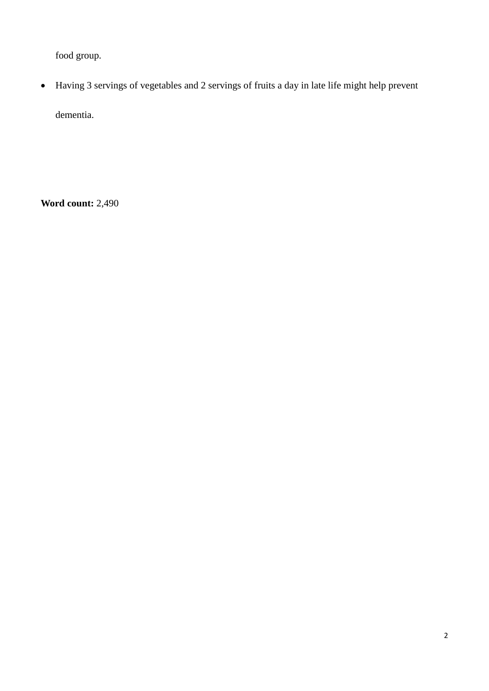food group.

 Having 3 servings of vegetables and 2 servings of fruits a day in late life might help prevent dementia.

**Word count:** 2,490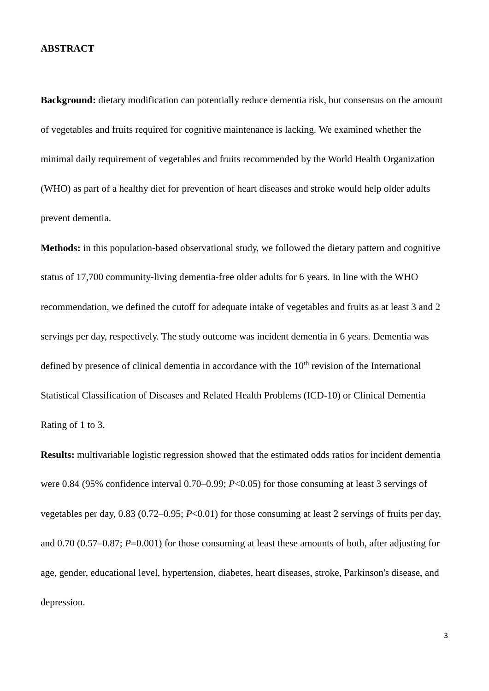#### **ABSTRACT**

**Background:** dietary modification can potentially reduce dementia risk, but consensus on the amount of vegetables and fruits required for cognitive maintenance is lacking. We examined whether the minimal daily requirement of vegetables and fruits recommended by the World Health Organization (WHO) as part of a healthy diet for prevention of heart diseases and stroke would help older adults prevent dementia.

**Methods:** in this population-based observational study, we followed the dietary pattern and cognitive status of 17,700 community-living dementia-free older adults for 6 years. In line with the WHO recommendation, we defined the cutoff for adequate intake of vegetables and fruits as at least 3 and 2 servings per day, respectively. The study outcome was incident dementia in 6 years. Dementia was defined by presence of clinical dementia in accordance with the  $10<sup>th</sup>$  revision of the International Statistical Classification of Diseases and Related Health Problems (ICD-10) or Clinical Dementia Rating of 1 to 3.

**Results:** multivariable logistic regression showed that the estimated odds ratios for incident dementia were 0.84 (95% confidence interval 0.70–0.99; *P*<0.05) for those consuming at least 3 servings of vegetables per day, 0.83 (0.72–0.95; *P*<0.01) for those consuming at least 2 servings of fruits per day, and 0.70 (0.57–0.87; *P*=0.001) for those consuming at least these amounts of both, after adjusting for age, gender, educational level, hypertension, diabetes, heart diseases, stroke, Parkinson's disease, and depression.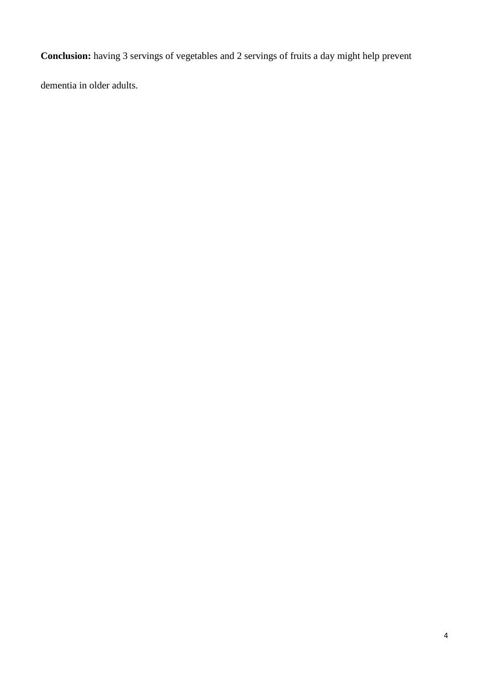**Conclusion:** having 3 servings of vegetables and 2 servings of fruits a day might help prevent

dementia in older adults.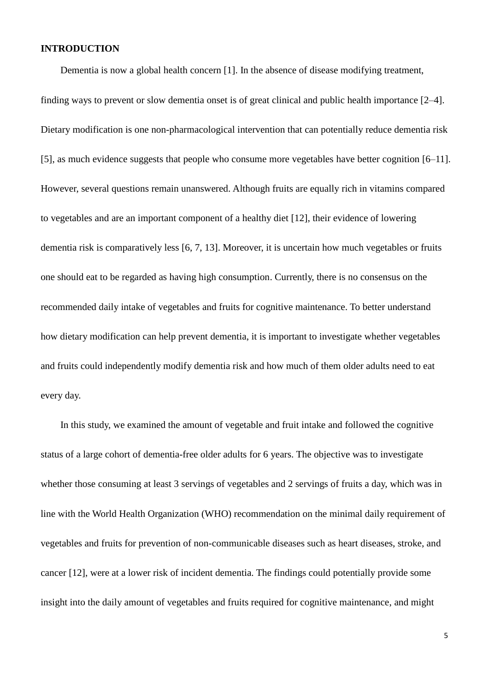#### **INTRODUCTION**

Dementia is now a global health concern [1]. In the absence of disease modifying treatment,

finding ways to prevent or slow dementia onset is of great clinical and public health importance [2–4]. Dietary modification is one non-pharmacological intervention that can potentially reduce dementia risk [5], as much evidence suggests that people who consume more vegetables have better cognition [6–11]. However, several questions remain unanswered. Although fruits are equally rich in vitamins compared to vegetables and are an important component of a healthy diet [12], their evidence of lowering dementia risk is comparatively less [6, 7, 13]. Moreover, it is uncertain how much vegetables or fruits one should eat to be regarded as having high consumption. Currently, there is no consensus on the recommended daily intake of vegetables and fruits for cognitive maintenance. To better understand how dietary modification can help prevent dementia, it is important to investigate whether vegetables and fruits could independently modify dementia risk and how much of them older adults need to eat every day.

In this study, we examined the amount of vegetable and fruit intake and followed the cognitive status of a large cohort of dementia-free older adults for 6 years. The objective was to investigate whether those consuming at least 3 servings of vegetables and 2 servings of fruits a day, which was in line with the World Health Organization (WHO) recommendation on the minimal daily requirement of vegetables and fruits for prevention of non-communicable diseases such as heart diseases, stroke, and cancer [12], were at a lower risk of incident dementia. The findings could potentially provide some insight into the daily amount of vegetables and fruits required for cognitive maintenance, and might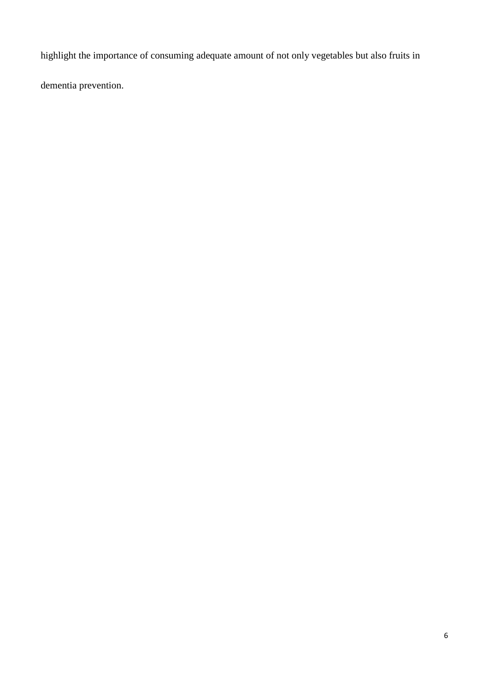highlight the importance of consuming adequate amount of not only vegetables but also fruits in

dementia prevention.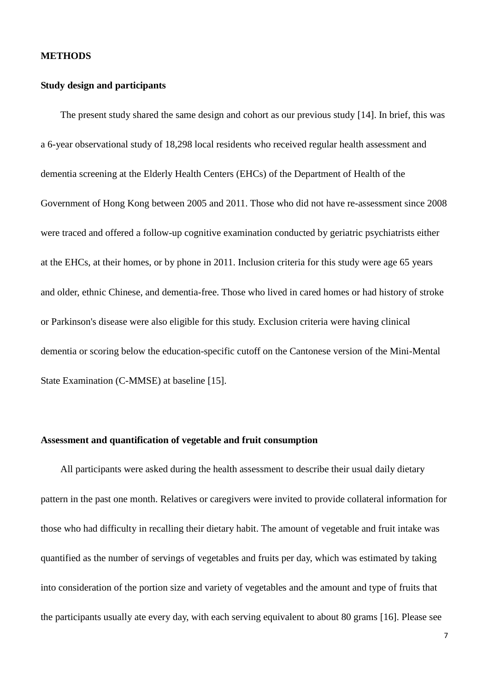#### **METHODS**

## **Study design and participants**

The present study shared the same design and cohort as our previous study [14]. In brief, this was a 6-year observational study of 18,298 local residents who received regular health assessment and dementia screening at the Elderly Health Centers (EHCs) of the Department of Health of the Government of Hong Kong between 2005 and 2011. Those who did not have re-assessment since 2008 were traced and offered a follow-up cognitive examination conducted by geriatric psychiatrists either at the EHCs, at their homes, or by phone in 2011. Inclusion criteria for this study were age 65 years and older, ethnic Chinese, and dementia-free. Those who lived in cared homes or had history of stroke or Parkinson's disease were also eligible for this study. Exclusion criteria were having clinical dementia or scoring below the education-specific cutoff on the Cantonese version of the Mini-Mental State Examination (C-MMSE) at baseline [15].

### **Assessment and quantification of vegetable and fruit consumption**

All participants were asked during the health assessment to describe their usual daily dietary pattern in the past one month. Relatives or caregivers were invited to provide collateral information for those who had difficulty in recalling their dietary habit. The amount of vegetable and fruit intake was quantified as the number of servings of vegetables and fruits per day, which was estimated by taking into consideration of the portion size and variety of vegetables and the amount and type of fruits that the participants usually ate every day, with each serving equivalent to about 80 grams [16]. Please see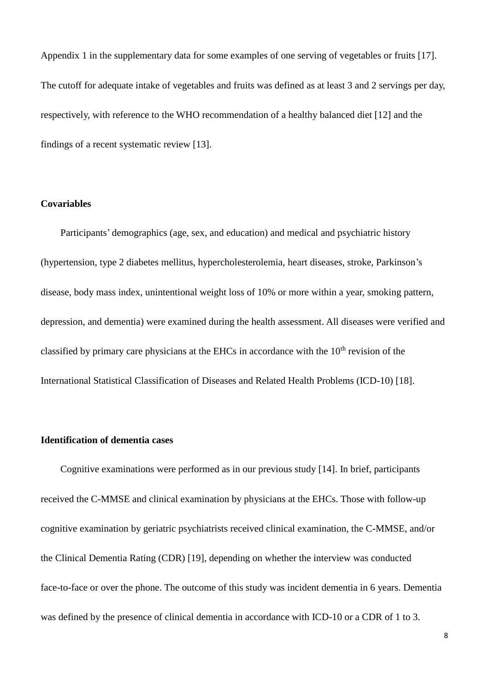Appendix 1 in the supplementary data for some examples of one serving of vegetables or fruits [17]. The cutoff for adequate intake of vegetables and fruits was defined as at least 3 and 2 servings per day, respectively, with reference to the WHO recommendation of a healthy balanced diet [12] and the findings of a recent systematic review [13].

## **Covariables**

Participants' demographics (age, sex, and education) and medical and psychiatric history (hypertension, type 2 diabetes mellitus, hypercholesterolemia, heart diseases, stroke, Parkinson's disease, body mass index, unintentional weight loss of 10% or more within a year, smoking pattern, depression, and dementia) were examined during the health assessment. All diseases were verified and classified by primary care physicians at the EHCs in accordance with the  $10<sup>th</sup>$  revision of the International Statistical Classification of Diseases and Related Health Problems (ICD-10) [18].

#### **Identification of dementia cases**

Cognitive examinations were performed as in our previous study [14]. In brief, participants received the C-MMSE and clinical examination by physicians at the EHCs. Those with follow-up cognitive examination by geriatric psychiatrists received clinical examination, the C-MMSE, and/or the Clinical Dementia Rating (CDR) [19], depending on whether the interview was conducted face-to-face or over the phone. The outcome of this study was incident dementia in 6 years. Dementia was defined by the presence of clinical dementia in accordance with ICD-10 or a CDR of 1 to 3.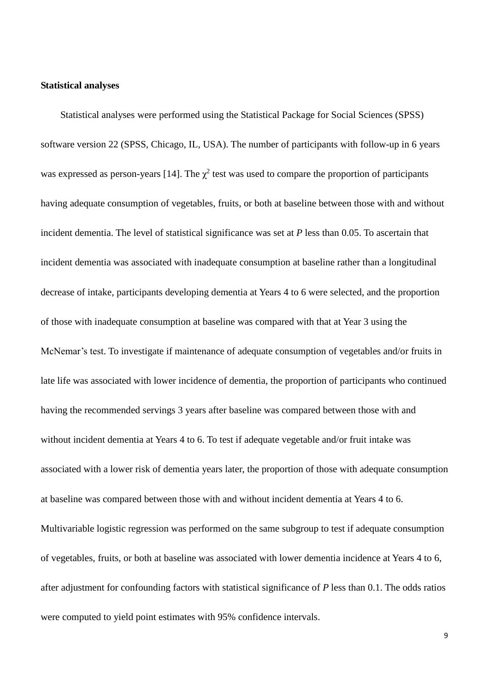## **Statistical analyses**

Statistical analyses were performed using the Statistical Package for Social Sciences (SPSS) software version 22 (SPSS, Chicago, IL, USA). The number of participants with follow-up in 6 years was expressed as person-years [14]. The  $\chi^2$  test was used to compare the proportion of participants having adequate consumption of vegetables, fruits, or both at baseline between those with and without incident dementia. The level of statistical significance was set at *P* less than 0.05. To ascertain that incident dementia was associated with inadequate consumption at baseline rather than a longitudinal decrease of intake, participants developing dementia at Years 4 to 6 were selected, and the proportion of those with inadequate consumption at baseline was compared with that at Year 3 using the McNemar's test. To investigate if maintenance of adequate consumption of vegetables and/or fruits in late life was associated with lower incidence of dementia, the proportion of participants who continued having the recommended servings 3 years after baseline was compared between those with and without incident dementia at Years 4 to 6. To test if adequate vegetable and/or fruit intake was associated with a lower risk of dementia years later, the proportion of those with adequate consumption at baseline was compared between those with and without incident dementia at Years 4 to 6. Multivariable logistic regression was performed on the same subgroup to test if adequate consumption of vegetables, fruits, or both at baseline was associated with lower dementia incidence at Years 4 to 6, after adjustment for confounding factors with statistical significance of *P* less than 0.1. The odds ratios were computed to yield point estimates with 95% confidence intervals.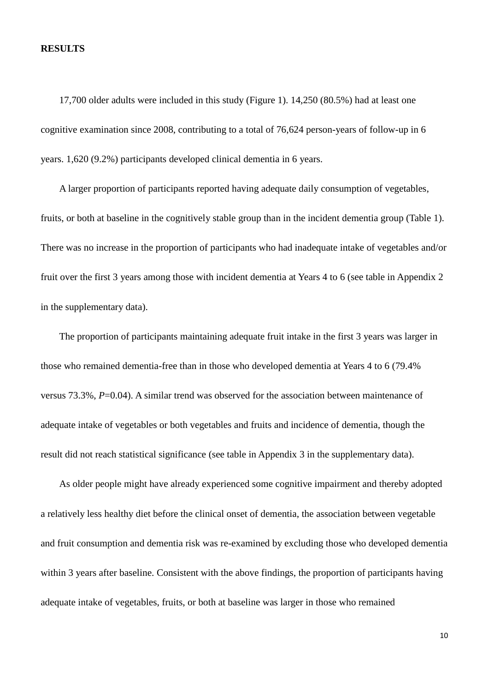#### **RESULTS**

17,700 older adults were included in this study (Figure 1). 14,250 (80.5%) had at least one cognitive examination since 2008, contributing to a total of 76,624 person-years of follow-up in 6 years. 1,620 (9.2%) participants developed clinical dementia in 6 years.

A larger proportion of participants reported having adequate daily consumption of vegetables, fruits, or both at baseline in the cognitively stable group than in the incident dementia group (Table 1). There was no increase in the proportion of participants who had inadequate intake of vegetables and/or fruit over the first 3 years among those with incident dementia at Years 4 to 6 (see table in Appendix 2 in the supplementary data).

The proportion of participants maintaining adequate fruit intake in the first 3 years was larger in those who remained dementia-free than in those who developed dementia at Years 4 to 6 (79.4% versus 73.3%, *P*=0.04). A similar trend was observed for the association between maintenance of adequate intake of vegetables or both vegetables and fruits and incidence of dementia, though the result did not reach statistical significance (see table in Appendix 3 in the supplementary data).

As older people might have already experienced some cognitive impairment and thereby adopted a relatively less healthy diet before the clinical onset of dementia, the association between vegetable and fruit consumption and dementia risk was re-examined by excluding those who developed dementia within 3 years after baseline. Consistent with the above findings, the proportion of participants having adequate intake of vegetables, fruits, or both at baseline was larger in those who remained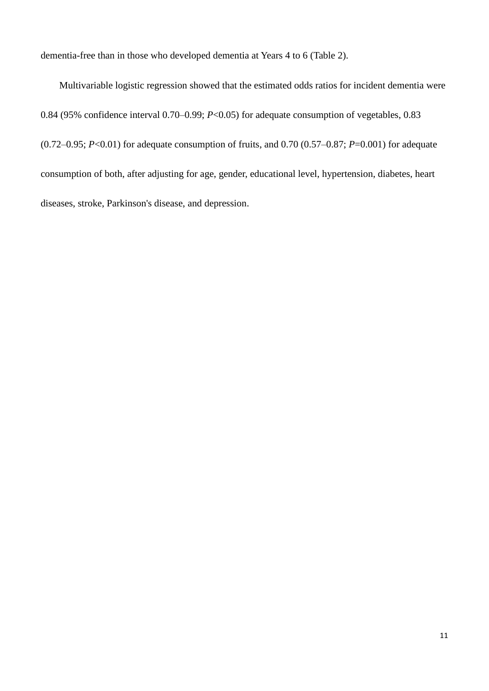dementia-free than in those who developed dementia at Years 4 to 6 (Table 2).

Multivariable logistic regression showed that the estimated odds ratios for incident dementia were 0.84 (95% confidence interval 0.70–0.99; *P*<0.05) for adequate consumption of vegetables, 0.83 (0.72–0.95; *P*<0.01) for adequate consumption of fruits, and 0.70 (0.57–0.87; *P*=0.001) for adequate consumption of both, after adjusting for age, gender, educational level, hypertension, diabetes, heart diseases, stroke, Parkinson's disease, and depression.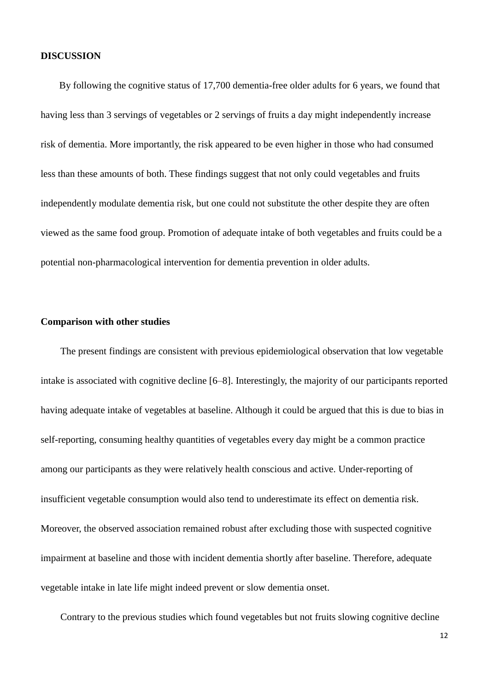#### **DISCUSSION**

By following the cognitive status of 17,700 dementia-free older adults for 6 years, we found that having less than 3 servings of vegetables or 2 servings of fruits a day might independently increase risk of dementia. More importantly, the risk appeared to be even higher in those who had consumed less than these amounts of both. These findings suggest that not only could vegetables and fruits independently modulate dementia risk, but one could not substitute the other despite they are often viewed as the same food group. Promotion of adequate intake of both vegetables and fruits could be a potential non-pharmacological intervention for dementia prevention in older adults.

## **Comparison with other studies**

The present findings are consistent with previous epidemiological observation that low vegetable intake is associated with cognitive decline [6–8]. Interestingly, the majority of our participants reported having adequate intake of vegetables at baseline. Although it could be argued that this is due to bias in self-reporting, consuming healthy quantities of vegetables every day might be a common practice among our participants as they were relatively health conscious and active. Under-reporting of insufficient vegetable consumption would also tend to underestimate its effect on dementia risk. Moreover, the observed association remained robust after excluding those with suspected cognitive impairment at baseline and those with incident dementia shortly after baseline. Therefore, adequate vegetable intake in late life might indeed prevent or slow dementia onset.

Contrary to the previous studies which found vegetables but not fruits slowing cognitive decline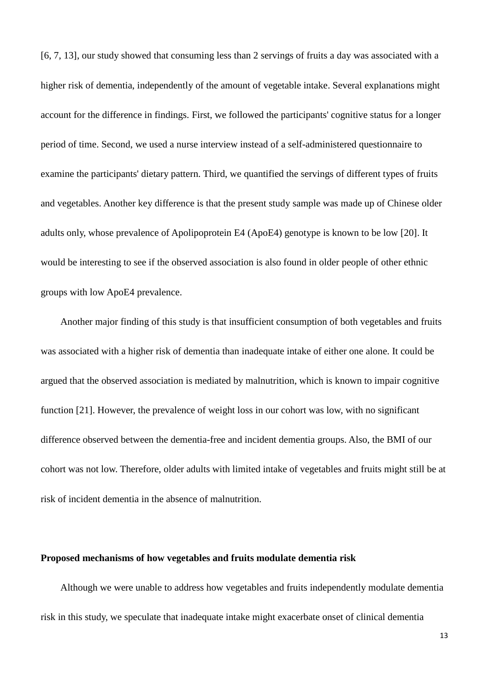[6, 7, 13], our study showed that consuming less than 2 servings of fruits a day was associated with a higher risk of dementia, independently of the amount of vegetable intake. Several explanations might account for the difference in findings. First, we followed the participants' cognitive status for a longer period of time. Second, we used a nurse interview instead of a self-administered questionnaire to examine the participants' dietary pattern. Third, we quantified the servings of different types of fruits and vegetables. Another key difference is that the present study sample was made up of Chinese older adults only, whose prevalence of Apolipoprotein E4 (ApoE4) genotype is known to be low [20]. It would be interesting to see if the observed association is also found in older people of other ethnic groups with low ApoE4 prevalence.

Another major finding of this study is that insufficient consumption of both vegetables and fruits was associated with a higher risk of dementia than inadequate intake of either one alone. It could be argued that the observed association is mediated by malnutrition, which is known to impair cognitive function [21]. However, the prevalence of weight loss in our cohort was low, with no significant difference observed between the dementia-free and incident dementia groups. Also, the BMI of our cohort was not low. Therefore, older adults with limited intake of vegetables and fruits might still be at risk of incident dementia in the absence of malnutrition.

#### **Proposed mechanisms of how vegetables and fruits modulate dementia risk**

Although we were unable to address how vegetables and fruits independently modulate dementia risk in this study, we speculate that inadequate intake might exacerbate onset of clinical dementia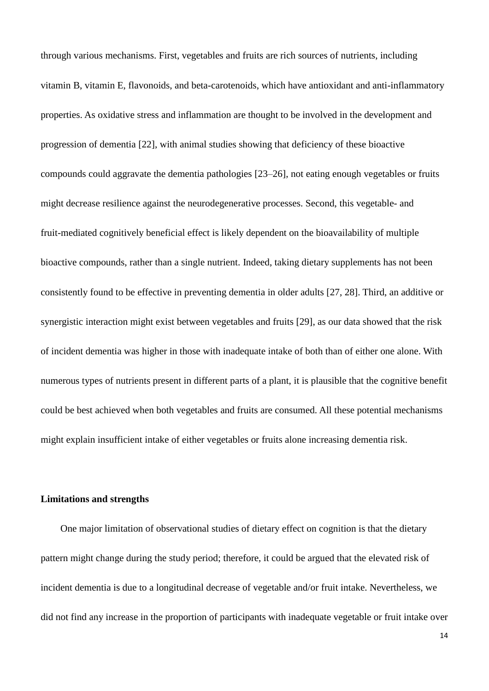through various mechanisms. First, vegetables and fruits are rich sources of nutrients, including vitamin B, vitamin E, flavonoids, and beta-carotenoids, which have antioxidant and anti-inflammatory properties. As oxidative stress and inflammation are thought to be involved in the development and progression of dementia [22], with animal studies showing that deficiency of these bioactive compounds could aggravate the dementia pathologies [23–26], not eating enough vegetables or fruits might decrease resilience against the neurodegenerative processes. Second, this vegetable- and fruit-mediated cognitively beneficial effect is likely dependent on the bioavailability of multiple bioactive compounds, rather than a single nutrient. Indeed, taking dietary supplements has not been consistently found to be effective in preventing dementia in older adults [27, 28]. Third, an additive or synergistic interaction might exist between vegetables and fruits [29], as our data showed that the risk of incident dementia was higher in those with inadequate intake of both than of either one alone. With numerous types of nutrients present in different parts of a plant, it is plausible that the cognitive benefit could be best achieved when both vegetables and fruits are consumed. All these potential mechanisms might explain insufficient intake of either vegetables or fruits alone increasing dementia risk.

### **Limitations and strengths**

One major limitation of observational studies of dietary effect on cognition is that the dietary pattern might change during the study period; therefore, it could be argued that the elevated risk of incident dementia is due to a longitudinal decrease of vegetable and/or fruit intake. Nevertheless, we did not find any increase in the proportion of participants with inadequate vegetable or fruit intake over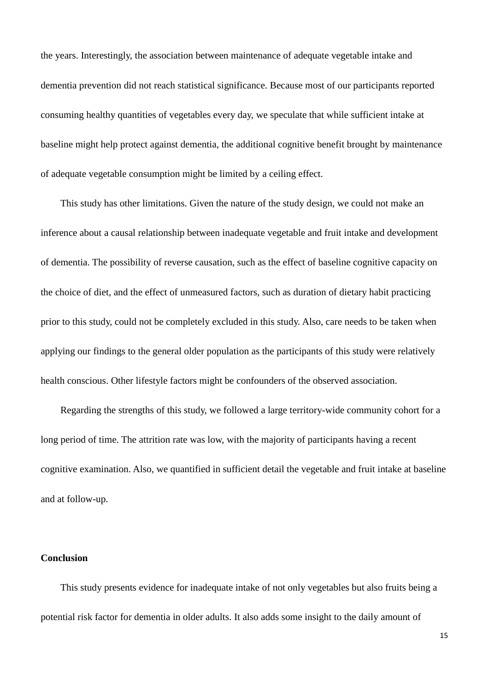the years. Interestingly, the association between maintenance of adequate vegetable intake and dementia prevention did not reach statistical significance. Because most of our participants reported consuming healthy quantities of vegetables every day, we speculate that while sufficient intake at baseline might help protect against dementia, the additional cognitive benefit brought by maintenance of adequate vegetable consumption might be limited by a ceiling effect.

This study has other limitations. Given the nature of the study design, we could not make an inference about a causal relationship between inadequate vegetable and fruit intake and development of dementia. The possibility of reverse causation, such as the effect of baseline cognitive capacity on the choice of diet, and the effect of unmeasured factors, such as duration of dietary habit practicing prior to this study, could not be completely excluded in this study. Also, care needs to be taken when applying our findings to the general older population as the participants of this study were relatively health conscious. Other lifestyle factors might be confounders of the observed association.

Regarding the strengths of this study, we followed a large territory-wide community cohort for a long period of time. The attrition rate was low, with the majority of participants having a recent cognitive examination. Also, we quantified in sufficient detail the vegetable and fruit intake at baseline and at follow-up.

### **Conclusion**

This study presents evidence for inadequate intake of not only vegetables but also fruits being a potential risk factor for dementia in older adults. It also adds some insight to the daily amount of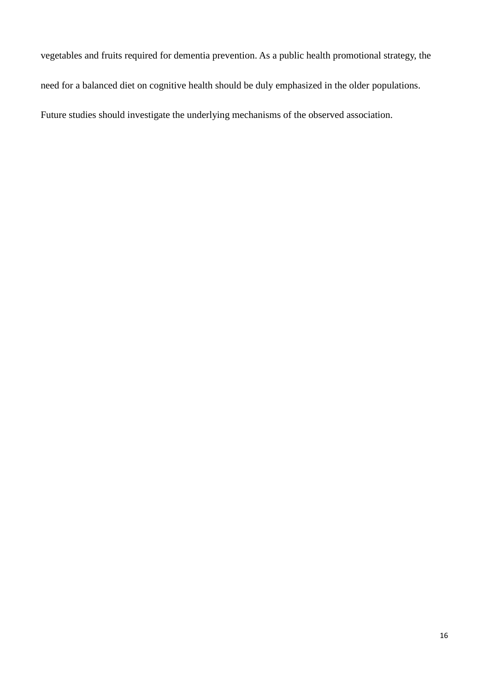vegetables and fruits required for dementia prevention. As a public health promotional strategy, the need for a balanced diet on cognitive health should be duly emphasized in the older populations. Future studies should investigate the underlying mechanisms of the observed association.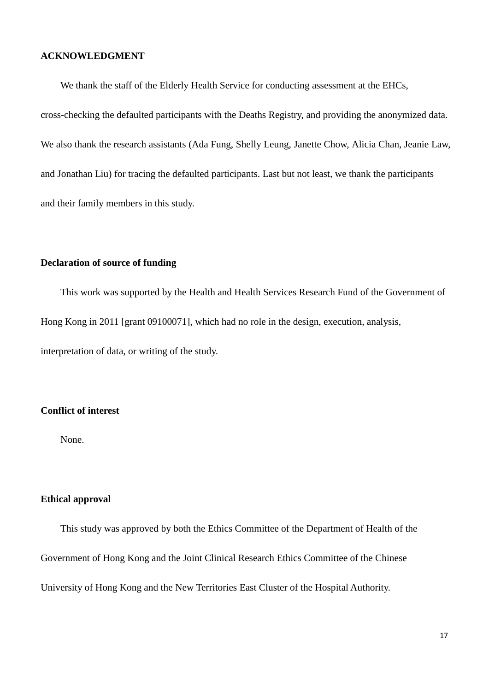#### **ACKNOWLEDGMENT**

We thank the staff of the Elderly Health Service for conducting assessment at the EHCs,

cross-checking the defaulted participants with the Deaths Registry, and providing the anonymized data. We also thank the research assistants (Ada Fung, Shelly Leung, Janette Chow, Alicia Chan, Jeanie Law, and Jonathan Liu) for tracing the defaulted participants. Last but not least, we thank the participants and their family members in this study.

## **Declaration of source of funding**

This work was supported by the Health and Health Services Research Fund of the Government of Hong Kong in 2011 [grant 09100071], which had no role in the design, execution, analysis, interpretation of data, or writing of the study.

## **Conflict of interest**

None.

## **Ethical approval**

This study was approved by both the Ethics Committee of the Department of Health of the Government of Hong Kong and the Joint Clinical Research Ethics Committee of the Chinese University of Hong Kong and the New Territories East Cluster of the Hospital Authority.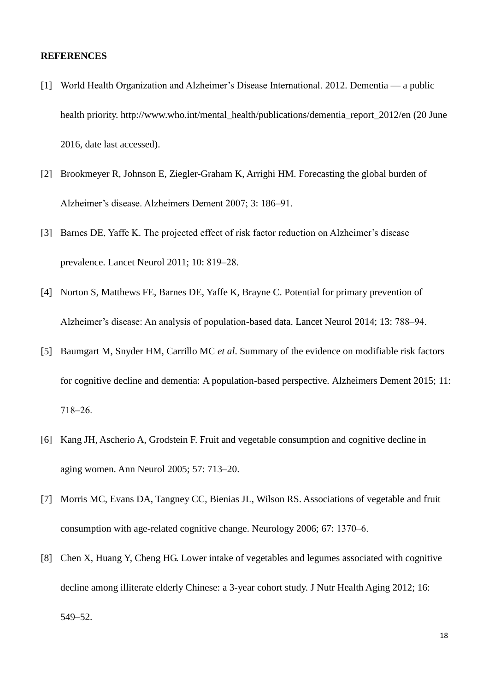#### **REFERENCES**

- [1] World Health Organization and Alzheimer's Disease International. 2012. Dementia a public health priority. http://www.who.int/mental\_health/publications/dementia\_report\_2012/en (20 June 2016, date last accessed).
- [2] Brookmeyer R, Johnson E, Ziegler-Graham K, Arrighi HM. Forecasting the global burden of Alzheimer's disease. Alzheimers Dement 2007; 3: 186-91.
- [3] Barnes DE, Yaffe K. The projected effect of risk factor reduction on Alzheimer's disease prevalence. Lancet Neurol 2011; 10: 819–28.
- [4] Norton S, Matthews FE, Barnes DE, Yaffe K, Brayne C. Potential for primary prevention of Alzheimer's disease: An analysis of population-based data. Lancet Neurol 2014; 13: 788–94.
- [5] Baumgart M, Snyder HM, Carrillo MC *et al*. Summary of the evidence on modifiable risk factors for cognitive decline and dementia: A population-based perspective. Alzheimers Dement 2015; 11: 718‒26.
- [6] Kang JH, Ascherio A, Grodstein F. Fruit and vegetable consumption and cognitive decline in aging women. Ann Neurol 2005; 57: 713–20.
- [7] Morris MC, Evans DA, Tangney CC, Bienias JL, Wilson RS. Associations of vegetable and fruit consumption with age-related cognitive change. Neurology 2006; 67: 1370–6.
- [8] Chen X, Huang Y, Cheng HG. Lower intake of vegetables and legumes associated with cognitive decline among illiterate elderly Chinese: a 3-year cohort study. J Nutr Health Aging 2012; 16: 549–52.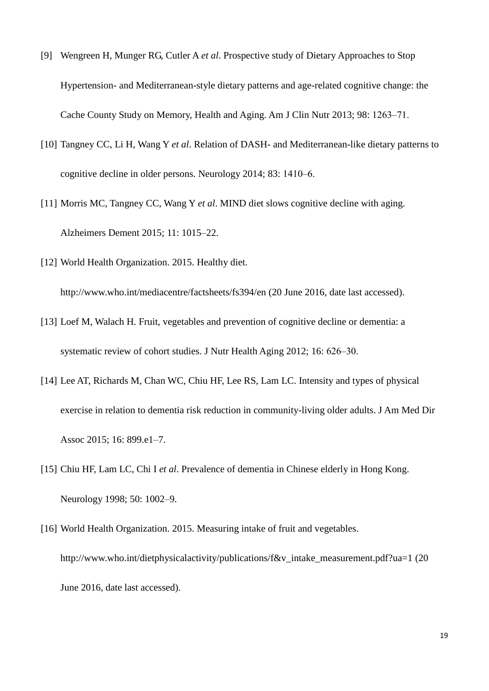- [9] Wengreen H, Munger RG, Cutler A *et al*. Prospective study of Dietary Approaches to Stop Hypertension- and Mediterranean-style dietary patterns and age-related cognitive change: the Cache County Study on Memory, Health and Aging. Am J Clin Nutr 2013; 98: 1263-71.
- [10] Tangney CC, Li H, Wang Y *et al*. Relation of DASH- and Mediterranean-like dietary patterns to cognitive decline in older persons. Neurology 2014; 83: 1410–6.
- [11] Morris MC, Tangney CC, Wang Y *et al*. MIND diet slows cognitive decline with aging. Alzheimers Dement 2015; 11: 1015–22.
- [12] World Health Organization. 2015. Healthy diet.

http://www.who.int/mediacentre/factsheets/fs394/en (20 June 2016, date last accessed).

- [13] Loef M, Walach H. Fruit, vegetables and prevention of cognitive decline or dementia: a systematic review of cohort studies. J Nutr Health Aging 2012; 16: 626–30.
- [14] Lee AT, Richards M, Chan WC, Chiu HF, Lee RS, Lam LC. Intensity and types of physical exercise in relation to dementia risk reduction in community-living older adults. J Am Med Dir Assoc 2015; 16: 899.e1–7.
- [15] Chiu HF, Lam LC, Chi I *et al*. Prevalence of dementia in Chinese elderly in Hong Kong. Neurology 1998; 50: 1002–9.
- [16] World Health Organization. 2015. Measuring intake of fruit and vegetables. http://www.who.int/dietphysicalactivity/publications/f&v\_intake\_measurement.pdf?ua=1 (20 June 2016, date last accessed).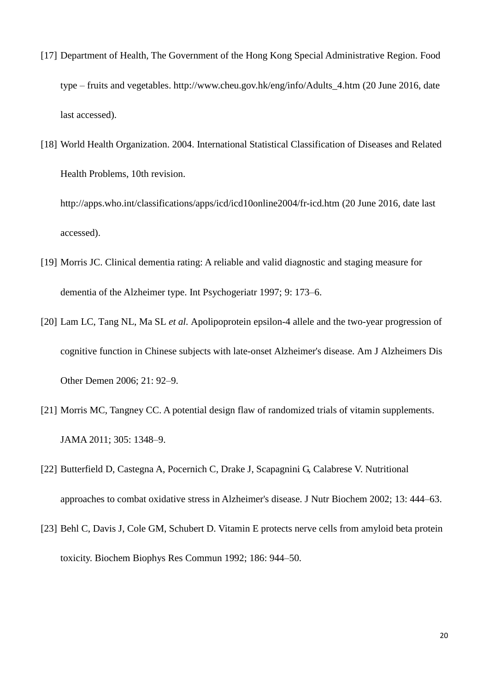- [17] Department of Health, The Government of the Hong Kong Special Administrative Region. Food type – fruits and vegetables. http://www.cheu.gov.hk/eng/info/Adults\_4.htm (20 June 2016, date last accessed).
- [18] World Health Organization. 2004. International Statistical Classification of Diseases and Related Health Problems, 10th revision.

http://apps.who.int/classifications/apps/icd/icd10online2004/fr-icd.htm (20 June 2016, date last accessed).

- [19] Morris JC. Clinical dementia rating: A reliable and valid diagnostic and staging measure for dementia of the Alzheimer type. Int Psychogeriatr 1997; 9: 173–6.
- [20] Lam LC, Tang NL, Ma SL *et al.* Apolipoprotein epsilon-4 allele and the two-year progression of cognitive function in Chinese subjects with late-onset Alzheimer's disease. Am J Alzheimers Dis Other Demen 2006; 21: 92–9.
- [21] Morris MC, Tangney CC. A potential design flaw of randomized trials of vitamin supplements. JAMA 2011; 305: 1348–9.
- [22] Butterfield D, Castegna A, Pocernich C, Drake J, Scapagnini G, Calabrese V. Nutritional approaches to combat oxidative stress in Alzheimer's disease. J Nutr Biochem 2002; 13: 444–63.
- [23] Behl C, Davis J, Cole GM, Schubert D. Vitamin E protects nerve cells from amyloid beta protein toxicity. Biochem Biophys Res Commun 1992; 186: 944–50.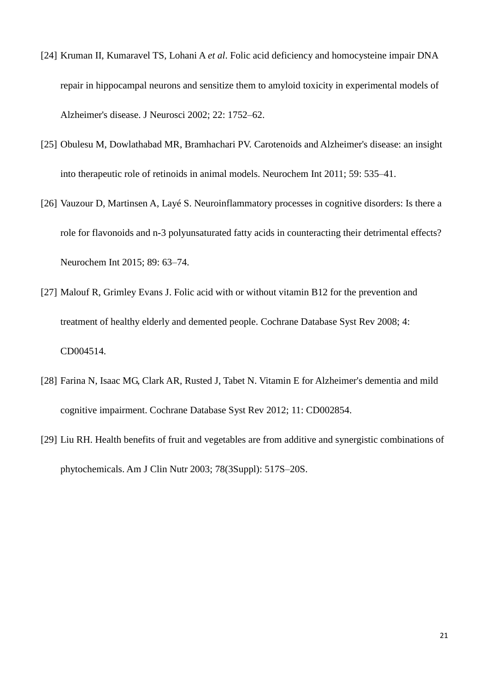- [24] Kruman II, Kumaravel TS, Lohani A *et al*. Folic acid deficiency and homocysteine impair DNA repair in hippocampal neurons and sensitize them to amyloid toxicity in experimental models of Alzheimer's disease. J Neurosci 2002; 22: 1752–62.
- [25] Obulesu M, Dowlathabad MR, Bramhachari PV. Carotenoids and Alzheimer's disease: an insight into therapeutic role of retinoids in animal models. Neurochem Int 2011; 59: 535–41.
- [26] Vauzour D, Martinsen A, Layé S. Neuroinflammatory processes in cognitive disorders: Is there a role for flavonoids and n-3 polyunsaturated fatty acids in counteracting their detrimental effects? Neurochem Int 2015; 89: 63–74.
- [27] Malouf R, Grimley Evans J. Folic acid with or without vitamin B12 for the prevention and treatment of healthy elderly and demented people. Cochrane Database Syst Rev 2008; 4: CD004514.
- [28] Farina N, Isaac MG, Clark AR, Rusted J, Tabet N. Vitamin E for Alzheimer's dementia and mild cognitive impairment. Cochrane Database Syst Rev 2012; 11: CD002854.
- [29] Liu RH. Health benefits of fruit and vegetables are from additive and synergistic combinations of phytochemicals. Am J Clin Nutr 2003; 78(3Suppl): 517S–20S.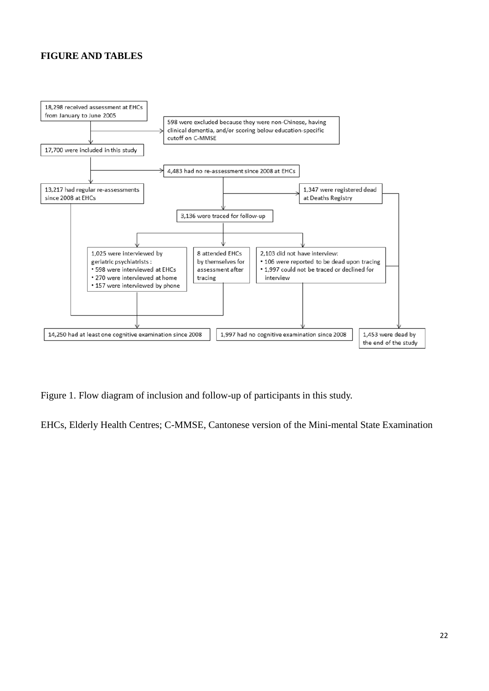## **FIGURE AND TABLES**



Figure 1. Flow diagram of inclusion and follow-up of participants in this study.

EHCs, Elderly Health Centres; C-MMSE, Cantonese version of the Mini-mental State Examination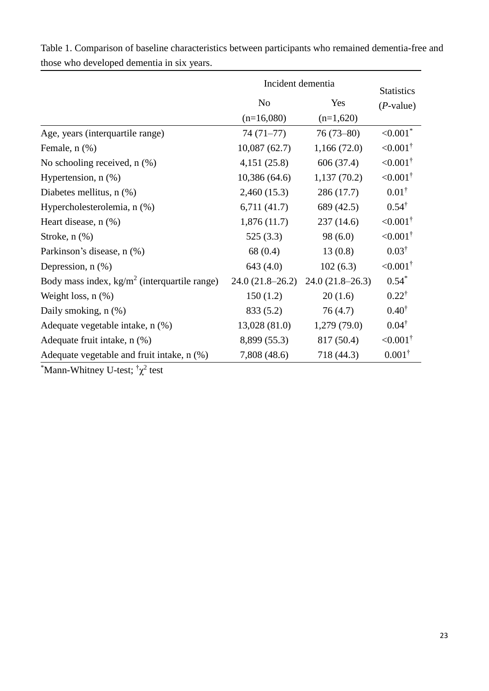|                                                        | Incident dementia |                   | <b>Statistics</b>   |
|--------------------------------------------------------|-------------------|-------------------|---------------------|
|                                                        | N <sub>o</sub>    | Yes               | $(P$ -value)        |
|                                                        | $(n=16,080)$      | $(n=1,620)$       |                     |
| Age, years (interquartile range)                       | $74(71-77)$       | $76(73-80)$       | $<0.001*$           |
| Female, $n$ $(\%)$                                     | 10,087(62.7)      | 1,166(72.0)       | $< 0.001^{\dagger}$ |
| No schooling received, $n$ $(\%)$                      | 4,151(25.8)       | 606 (37.4)        | $< 0.001^{\dagger}$ |
| Hypertension, $n$ $(\%)$                               | 10,386(64.6)      | 1,137(70.2)       | $< 0.001^{\dagger}$ |
| Diabetes mellitus, n (%)                               | 2,460(15.3)       | 286 (17.7)        | $0.01^{\dagger}$    |
| Hypercholesterolemia, n (%)                            | 6,711(41.7)       | 689 (42.5)        | $0.54^{\dagger}$    |
| Heart disease, n (%)                                   | 1,876(11.7)       | 237 (14.6)        | $< 0.001^{\dagger}$ |
| Stroke, $n$ $(\%)$                                     | 525(3.3)          | 98(6.0)           | $< 0.001^{\dagger}$ |
| Parkinson's disease, n (%)                             | 68(0.4)           | 13(0.8)           | $0.03^{\dagger}$    |
| Depression, $n$ $(\%)$                                 | 643 (4.0)         | 102(6.3)          | $< 0.001^{\dagger}$ |
| Body mass index, $\text{kg/m}^2$ (interquartile range) | $24.0(21.8-26.2)$ | $24.0(21.8-26.3)$ | $0.54*$             |
| Weight loss, $n$ $(\%)$                                | 150(1.2)          | 20(1.6)           | $0.22^{\dagger}$    |
| Daily smoking, n (%)                                   | 833 (5.2)         | 76(4.7)           | $0.40^{\dagger}$    |
| Adequate vegetable intake, n (%)                       | 13,028 (81.0)     | 1,279(79.0)       | $0.04^{\dagger}$    |
| Adequate fruit intake, n (%)                           | 8,899 (55.3)      | 817 (50.4)        | $< 0.001^{\dagger}$ |
| Adequate vegetable and fruit intake, n (%)             | 7,808 (48.6)      | 718 (44.3)        | $0.001^{\dagger}$   |
|                                                        |                   |                   |                     |

Table 1. Comparison of baseline characteristics between participants who remained dementia-free and those who developed dementia in six years.

 $^{\ast}$ Mann-Whitney U-test;  $^{\dagger} \chi^2$  test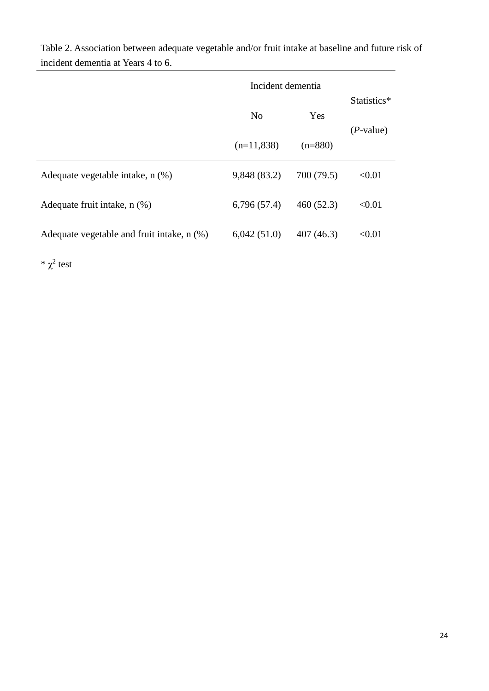|                                                 | Incident dementia |            |                            |
|-------------------------------------------------|-------------------|------------|----------------------------|
|                                                 | N <sub>0</sub>    | Yes        | Statistics*<br>$(P-value)$ |
|                                                 | $(n=11,838)$      | $(n=880)$  |                            |
| Adequate vegetable intake, n (%)                | 9,848 (83.2)      | 700 (79.5) | < 0.01                     |
| Adequate fruit intake, n (%)                    | 6,796(57.4)       | 460(52.3)  | < 0.01                     |
| Adequate vegetable and fruit intake, $n$ $(\%)$ | 6,042(51.0)       | 407(46.3)  | < 0.01                     |

Table 2. Association between adequate vegetable and/or fruit intake at baseline and future risk of incident dementia at Years 4 to 6.

 $*\chi^2$  test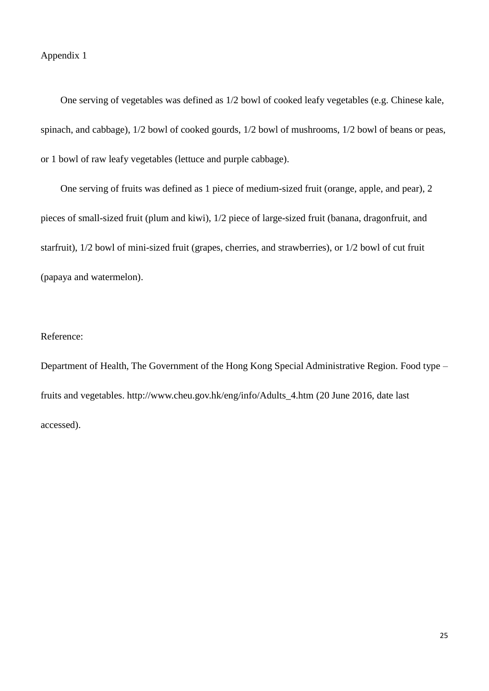One serving of vegetables was defined as 1/2 bowl of cooked leafy vegetables (e.g. Chinese kale, spinach, and cabbage), 1/2 bowl of cooked gourds, 1/2 bowl of mushrooms, 1/2 bowl of beans or peas, or 1 bowl of raw leafy vegetables (lettuce and purple cabbage).

One serving of fruits was defined as 1 piece of medium-sized fruit (orange, apple, and pear), 2 pieces of small-sized fruit (plum and kiwi), 1/2 piece of large-sized fruit (banana, dragonfruit, and starfruit), 1/2 bowl of mini-sized fruit (grapes, cherries, and strawberries), or 1/2 bowl of cut fruit (papaya and watermelon).

## Reference:

Department of Health, The Government of the Hong Kong Special Administrative Region. Food type – fruits and vegetables. http://www.cheu.gov.hk/eng/info/Adults\_4.htm (20 June 2016, date last accessed).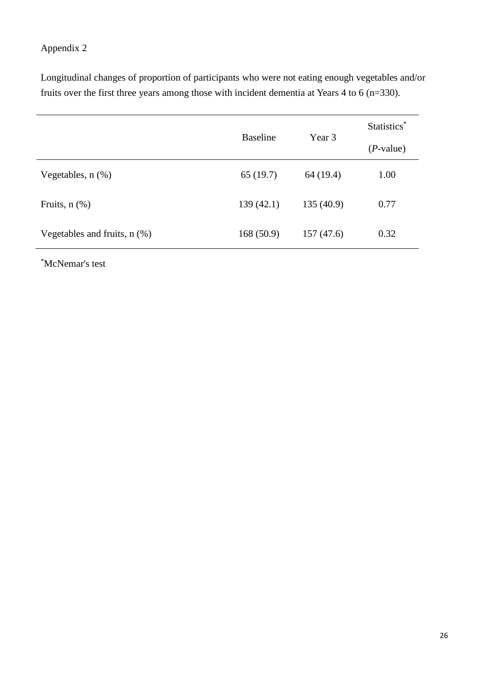## Appendix 2

Longitudinal changes of proportion of participants who were not eating enough vegetables and/or fruits over the first three years among those with incident dementia at Years 4 to 6 (n=330).

|                                   | <b>Baseline</b> | Year 3    | Statistics* |
|-----------------------------------|-----------------|-----------|-------------|
|                                   |                 |           | $(P-value)$ |
| Vegetables, $n$ $(\%)$            | 65(19.7)        | 64 (19.4) | 1.00        |
| Fruits, $n$ $(\%)$                | 139(42.1)       | 135(40.9) | 0.77        |
| Vegetables and fruits, $n$ $(\%)$ | 168(50.9)       | 157(47.6) | 0.32        |

\*McNemar's test